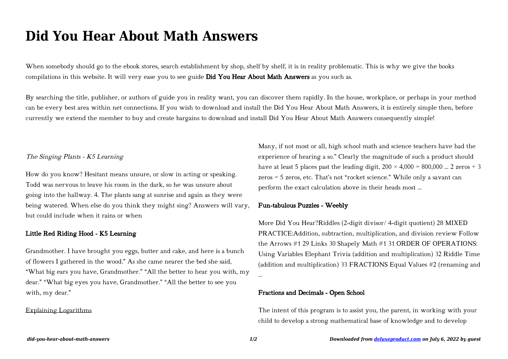# **Did You Hear About Math Answers**

When somebody should go to the ebook stores, search establishment by shop, shelf by shelf, it is in reality problematic. This is why we give the books compilations in this website. It will very ease you to see guide Did You Hear About Math Answers as you such as.

By searching the title, publisher, or authors of guide you in reality want, you can discover them rapidly. In the house, workplace, or perhaps in your method can be every best area within net connections. If you wish to download and install the Did You Hear About Math Answers, it is entirely simple then, before currently we extend the member to buy and create bargains to download and install Did You Hear About Math Answers consequently simple!

## The Singing Plants - K5 Learning

How do you know? Hesitant means unsure, or slow in acting or speaking. Todd was nervous to leave his room in the dark, so he was unsure about going into the hallway. 4. The plants sang at sunrise and again as they were being watered. When else do you think they might sing? Answers will vary, but could include when it rains or when

# Little Red Riding Hood - K5 Learning

Grandmother. I have brought you eggs, butter and cake, and here is a bunch of flowers I gathered in the wood." As she came nearer the bed she said, "What big ears you have, Grandmother." "All the better to hear you with, my dear." "What big eyes you have, Grandmother." "All the better to see you with, my dear."

#### Explaining Logarithms

Many, if not most or all, high school math and science teachers have had the experience of hearing a so." Clearly the magnitude of such a product should have at least 5 places past the leading digit,  $200 \times 4,000 = 800,000$  ... 2 zeros + 3 zeros = 5 zeros, etc. That's not "rocket science." While only a savant can perform the exact calculation above in their heads most …

## Fun-tabulous Puzzles - Weebly

More Did You Hear?Riddles (2-digit divisor/ 4-digit quotient) 28 MIXED PRACTICE:Addition, subtraction, multiplication, and division review Follow the Arrows #1 29 Links 30 Shapely Math #1 31 ORDER OF OPERATIONS: Using Variables Elephant Trivia (addition and multiplication) 32 Riddle Time (addition and multiplication) 33 FRACTIONS Equal Values #2 (renaming and

#### Fractions and Decimals - Open School

The intent of this program is to assist you, the parent, in working with your child to develop a strong mathematical base of knowledge and to develop

…